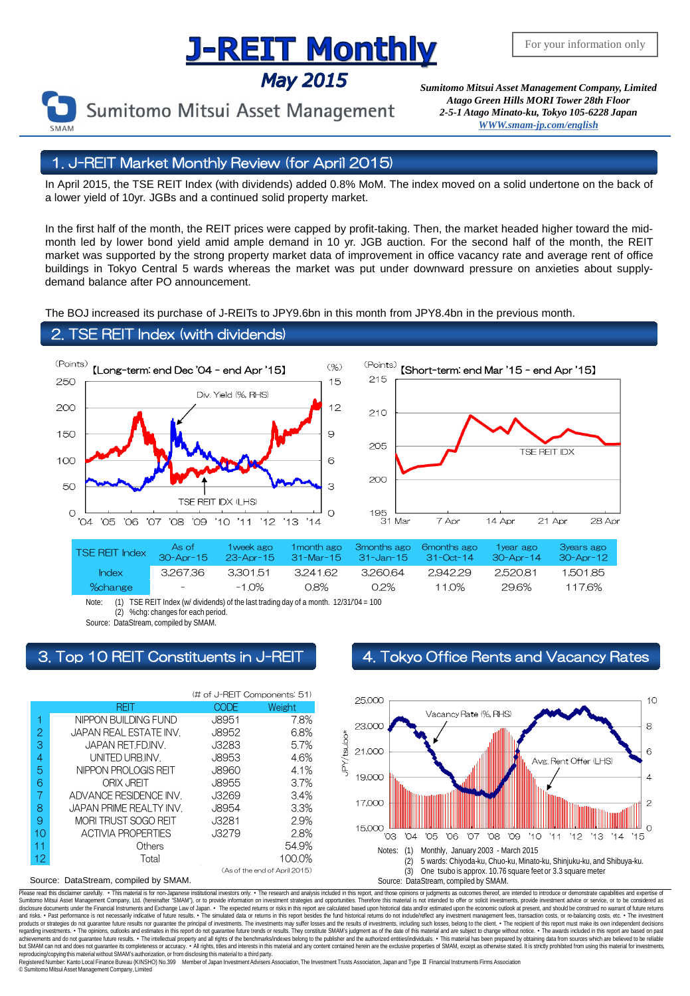# **J-REIT Monthly**

**May 2015** 

Sumitomo Mitsui Asset Management

*Sumitomo Mitsui Asset Management Company, Limited Atago Green Hills MORI Tower 28th Floor 2-5-1 Atago Minato-ku, Tokyo 105-6228 Japa[n](mailto:English@smam-jp.com) [WWW.smam-jp.com/english](http://www.smam-jp.com/english)*

# 1. J-REIT Market Monthly Review (for April 2015)

In April 2015, the TSE REIT Index (with dividends) added 0.8% MoM. The index moved on a solid undertone on the back of a lower yield of 10yr. JGBs and a continued solid property market.

In the first half of the month, the REIT prices were capped by profit-taking. Then, the market headed higher toward the midmonth led by lower bond yield amid ample demand in 10 yr. JGB auction. For the second half of the month, the REIT market was supported by the strong property market data of improvement in office vacancy rate and average rent of office buildings in Tokyo Central 5 wards whereas the market was put under downward pressure on anxieties about supplydemand balance after PO announcement.

The BOJ increased its purchase of J-REITs to JPY9.6bn in this month from JPY8.4bn in the previous month.

## 2. TSE REIT Index (with dividends)



Source: DataStream, compiled by SMAM.



# 3. Top 10 REIT Constituents in J-REIT 4. Tokyo Office Rents and Vacancy Rates



Please read this disclaimer carefuly. • This material is for non-Japanese institutional investors only. • The research and analysis included in this report, and those opinions or judgments as outcomes thereof, are intended disclosure documents under the Financial Instruments and Exchange Law of Japan. • The expected relums or risks in this report are calculated based upon historial data and/or estimated upon the economic outlook at present, products or strategies do not guarantee future results nor guarantee the principal of investments. The investments may suffer losses and the results of investments, including such losses, belong to the client. . The recipi regarding investments. • The opinions, outlooks and estimates in this report do not guarantee future trends or results. They constitute SMAM's judgment as of the date of this material and are subject to change without noti reproducing/copying this material without SMAM's authorization, or from disclosing this material to a third party

egistered Number: Kanto Local Finance Bureau (KINSHO) No.399 Member of Japan Investment Advisers Association, The Investment Trusts Association, Japan and Type Ⅱ Financial Instruments Firms Association © SumitomoMitsui Asset Management Company, Limited